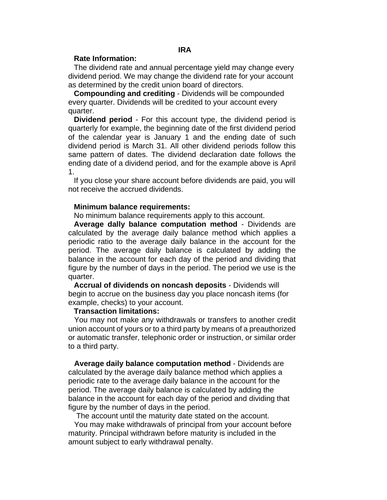## **Rate Information:**

The dividend rate and annual percentage yield may change every dividend period. We may change the dividend rate for your account as determined by the credit union board of directors.

**Compounding and crediting** - Dividends will be compounded every quarter. Dividends will be credited to your account every quarter.

**Dividend period** - For this account type, the dividend period is quarterly for example, the beginning date of the first dividend period of the calendar year is January 1 and the ending date of such dividend period is March 31. All other dividend periods follow this same pattern of dates. The dividend declaration date follows the ending date of a dividend period, and for the example above is April 1.

If you close your share account before dividends are paid, you will not receive the accrued dividends.

#### **Minimum balance requirements:**

No minimum balance requirements apply to this account.

**Average dally balance computation method** - Dividends are calculated by the average daily balance method which applies a periodic ratio to the average daily balance in the account for the period. The average daily balance is calculated by adding the balance in the account for each day of the period and dividing that figure by the number of days in the period. The period we use is the quarter.

**Accrual of dividends on noncash deposits** - Dividends will begin to accrue on the business day you place noncash items (for example, checks) to your account.

### **Transaction limitations:**

You may not make any withdrawals or transfers to another credit union account of yours or to a third party by means of a preauthorized or automatic transfer, telephonic order or instruction, or similar order to a third party.

**Average daily balance computation method** - Dividends are calculated by the average daily balance method which applies a periodic rate to the average daily balance in the account for the period. The average daily balance is calculated by adding the balance in the account for each day of the period and dividing that figure by the number of days in the period.

The account until the maturity date stated on the account.

You may make withdrawals of principal from your account before maturity. Principal withdrawn before maturity is included in the amount subject to early withdrawal penalty.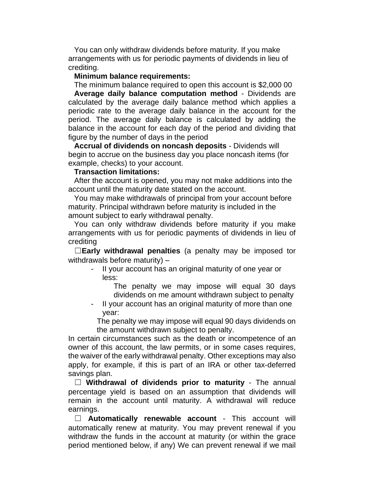You can only withdraw dividends before maturity. If you make arrangements with us for periodic payments of dividends in lieu of crediting.

# **Minimum balance requirements:**

The minimum balance required to open this account is \$2,000 00 **Average daily balance computation method** - Dividends are calculated by the average daily balance method which applies a periodic rate to the average daily balance in the account for the period. The average daily balance is calculated by adding the balance in the account for each day of the period and dividing that figure by the number of days in the period

**Accrual of dividends on noncash deposits** - Dividends will begin to accrue on the business day you place noncash items (for example, checks) to your account.

## **Transaction limitations:**

After the account is opened, you may not make additions into the account until the maturity date stated on the account.

You may make withdrawals of principal from your account before maturity. Principal withdrawn before maturity is included in the amount subject to early withdrawal penalty.

You can only withdraw dividends before maturity if you make arrangements with us for periodic payments of dividends in lieu of crediting

☐**Early withdrawal penalties** (a penalty may be imposed tor withdrawals before maturity) –

- II your account has an original maturity of one year or less:

The penalty we may impose will equal 30 days dividends on me amount withdrawn subject to penalty

- II your account has an original maturity of more than one year:

The penalty we may impose will equal 90 days dividends on the amount withdrawn subject to penalty.

In certain circumstances such as the death or incompetence of an owner of this account, the law permits, or in some cases requires, the waiver of the early withdrawal penalty. Other exceptions may also apply, for example, if this is part of an IRA or other tax-deferred savings plan.

☐ **Withdrawal of dividends prior to maturity** - The annual percentage yield is based on an assumption that dividends will remain in the account until maturity. A withdrawal will reduce earnings.

☐ **Automatically renewable account** - This account will automatically renew at maturity. You may prevent renewal if you withdraw the funds in the account at maturity (or within the grace period mentioned below, if any) We can prevent renewal if we mail